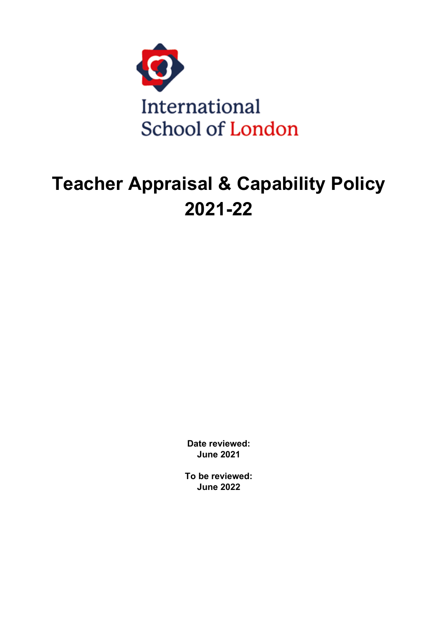

# **Teacher Appraisal & Capability Policy 2021-22**

**Date reviewed: June 2021**

**To be reviewed: June 2022**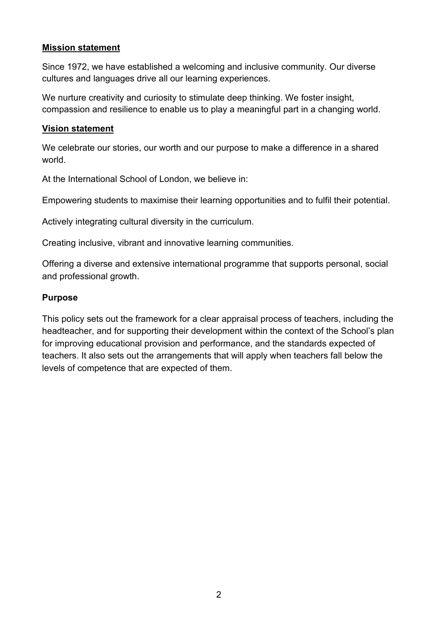#### **Mission statement**

Since 1972, we have established a welcoming and inclusive community. Our diverse cultures and languages drive all our learning experiences.

We nurture creativity and curiosity to stimulate deep thinking. We foster insight, compassion and resilience to enable us to play a meaningful part in a changing world.

#### **Vision statement**

We celebrate our stories, our worth and our purpose to make a difference in a shared world.

At the International School of London, we believe in:

Empowering students to maximise their learning opportunities and to fulfil their potential.

Actively integrating cultural diversity in the curriculum.

Creating inclusive, vibrant and innovative learning communities.

Offering a diverse and extensive international programme that supports personal, social and professional growth.

#### **Purpose**

This policy sets out the framework for a clear appraisal process of teachers, including the headteacher, and for supporting their development within the context of the School's plan for improving educational provision and performance, and the standards expected of teachers. It also sets out the arrangements that will apply when teachers fall below the levels of competence that are expected of them.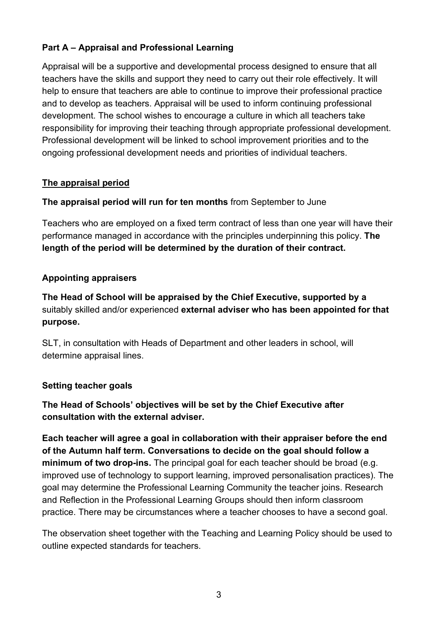# **Part A – Appraisal and Professional Learning**

Appraisal will be a supportive and developmental process designed to ensure that all teachers have the skills and support they need to carry out their role effectively. It will help to ensure that teachers are able to continue to improve their professional practice and to develop as teachers. Appraisal will be used to inform continuing professional development. The school wishes to encourage a culture in which all teachers take responsibility for improving their teaching through appropriate professional development. Professional development will be linked to school improvement priorities and to the ongoing professional development needs and priorities of individual teachers.

## **The appraisal period**

**The appraisal period will run for ten months** from September to June

Teachers who are employed on a fixed term contract of less than one year will have their performance managed in accordance with the principles underpinning this policy. **The length of the period will be determined by the duration of their contract.**

# **Appointing appraisers**

**The Head of School will be appraised by the Chief Executive, supported by a**  suitably skilled and/or experienced **external adviser who has been appointed for that purpose.**

SLT, in consultation with Heads of Department and other leaders in school, will determine appraisal lines.

# **Setting teacher goals**

**The Head of Schools' objectives will be set by the Chief Executive after consultation with the external adviser.**

**Each teacher will agree a goal in collaboration with their appraiser before the end of the Autumn half term. Conversations to decide on the goal should follow a minimum of two drop-ins.** The principal goal for each teacher should be broad (e.g. improved use of technology to support learning, improved personalisation practices). The goal may determine the Professional Learning Community the teacher joins. Research and Reflection in the Professional Learning Groups should then inform classroom practice. There may be circumstances where a teacher chooses to have a second goal.

The observation sheet together with the Teaching and Learning Policy should be used to outline expected standards for teachers.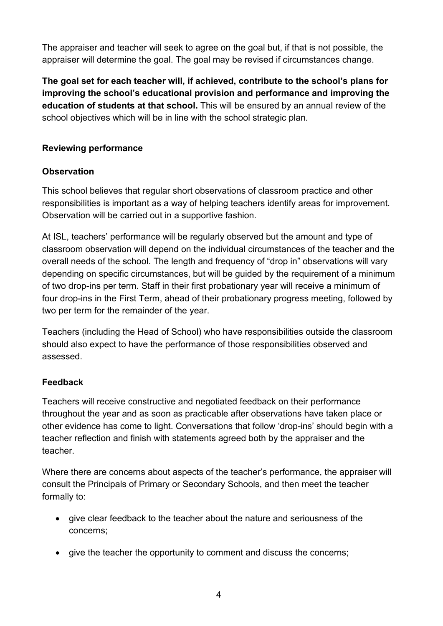The appraiser and teacher will seek to agree on the goal but, if that is not possible, the appraiser will determine the goal. The goal may be revised if circumstances change.

**The goal set for each teacher will, if achieved, contribute to the school's plans for improving the school's educational provision and performance and improving the education of students at that school.** This will be ensured by an annual review of the school objectives which will be in line with the school strategic plan*.*

# **Reviewing performance**

# **Observation**

This school believes that regular short observations of classroom practice and other responsibilities is important as a way of helping teachers identify areas for improvement. Observation will be carried out in a supportive fashion.

At ISL, teachers' performance will be regularly observed but the amount and type of classroom observation will depend on the individual circumstances of the teacher and the overall needs of the school. The length and frequency of "drop in" observations will vary depending on specific circumstances, but will be guided by the requirement of a minimum of two drop-ins per term. Staff in their first probationary year will receive a minimum of four drop-ins in the First Term, ahead of their probationary progress meeting, followed by two per term for the remainder of the year.

Teachers (including the Head of School) who have responsibilities outside the classroom should also expect to have the performance of those responsibilities observed and assessed.

# **Feedback**

Teachers will receive constructive and negotiated feedback on their performance throughout the year and as soon as practicable after observations have taken place or other evidence has come to light. Conversations that follow 'drop-ins' should begin with a teacher reflection and finish with statements agreed both by the appraiser and the teacher.

Where there are concerns about aspects of the teacher's performance, the appraiser will consult the Principals of Primary or Secondary Schools, and then meet the teacher formally to:

- give clear feedback to the teacher about the nature and seriousness of the concerns;
- give the teacher the opportunity to comment and discuss the concerns;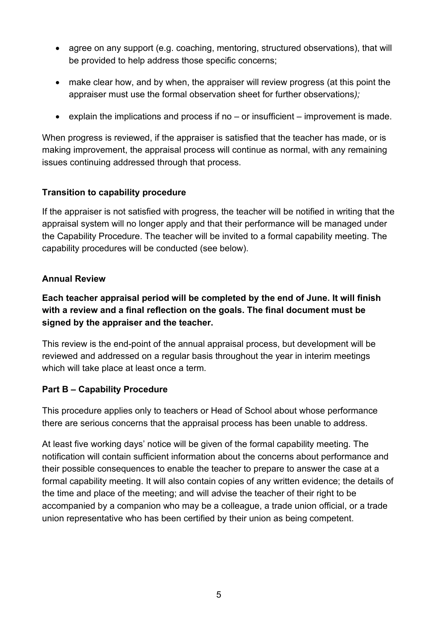- agree on any support (e.g. coaching, mentoring, structured observations), that will be provided to help address those specific concerns;
- make clear how, and by when, the appraiser will review progress (at this point the appraiser must use the formal observation sheet for further observations*);*
- explain the implications and process if no or insufficient improvement is made.

When progress is reviewed, if the appraiser is satisfied that the teacher has made, or is making improvement, the appraisal process will continue as normal, with any remaining issues continuing addressed through that process.

# **Transition to capability procedure**

If the appraiser is not satisfied with progress, the teacher will be notified in writing that the appraisal system will no longer apply and that their performance will be managed under the Capability Procedure. The teacher will be invited to a formal capability meeting. The capability procedures will be conducted (see below).

## **Annual Review**

**Each teacher appraisal period will be completed by the end of June. It will finish with a review and a final reflection on the goals. The final document must be signed by the appraiser and the teacher.** 

This review is the end-point of the annual appraisal process, but development will be reviewed and addressed on a regular basis throughout the year in interim meetings which will take place at least once a term*.* 

# **Part B – Capability Procedure**

This procedure applies only to teachers or Head of School about whose performance there are serious concerns that the appraisal process has been unable to address.

At least five working days' notice will be given of the formal capability meeting. The notification will contain sufficient information about the concerns about performance and their possible consequences to enable the teacher to prepare to answer the case at a formal capability meeting. It will also contain copies of any written evidence; the details of the time and place of the meeting; and will advise the teacher of their right to be accompanied by a companion who may be a colleague, a trade union official, or a trade union representative who has been certified by their union as being competent.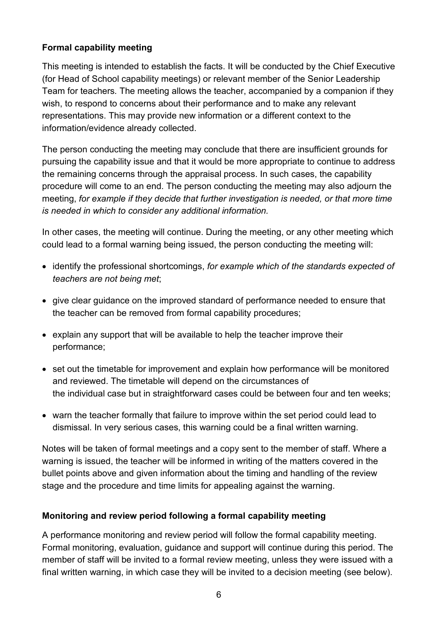## **Formal capability meeting**

This meeting is intended to establish the facts. It will be conducted by the Chief Executive (for Head of School capability meetings) or relevant member of the Senior Leadership Team for teachers*.* The meeting allows the teacher, accompanied by a companion if they wish, to respond to concerns about their performance and to make any relevant representations. This may provide new information or a different context to the information/evidence already collected.

The person conducting the meeting may conclude that there are insufficient grounds for pursuing the capability issue and that it would be more appropriate to continue to address the remaining concerns through the appraisal process. In such cases, the capability procedure will come to an end. The person conducting the meeting may also adjourn the meeting, *for example if they decide that further investigation is needed, or that more time is needed in which to consider any additional information.*

In other cases, the meeting will continue. During the meeting, or any other meeting which could lead to a formal warning being issued, the person conducting the meeting will:

- identify the professional shortcomings, *for example which of the standards expected of teachers are not being met*;
- give clear guidance on the improved standard of performance needed to ensure that the teacher can be removed from formal capability procedures;
- explain any support that will be available to help the teacher improve their performance;
- set out the timetable for improvement and explain how performance will be monitored and reviewed. The timetable will depend on the circumstances of the individual case but in straightforward cases could be between four and ten weeks;
- warn the teacher formally that failure to improve within the set period could lead to dismissal. In very serious cases, this warning could be a final written warning.

Notes will be taken of formal meetings and a copy sent to the member of staff. Where a warning is issued, the teacher will be informed in writing of the matters covered in the bullet points above and given information about the timing and handling of the review stage and the procedure and time limits for appealing against the warning.

# **Monitoring and review period following a formal capability meeting**

A performance monitoring and review period will follow the formal capability meeting. Formal monitoring, evaluation, guidance and support will continue during this period. The member of staff will be invited to a formal review meeting, unless they were issued with a final written warning, in which case they will be invited to a decision meeting (see below).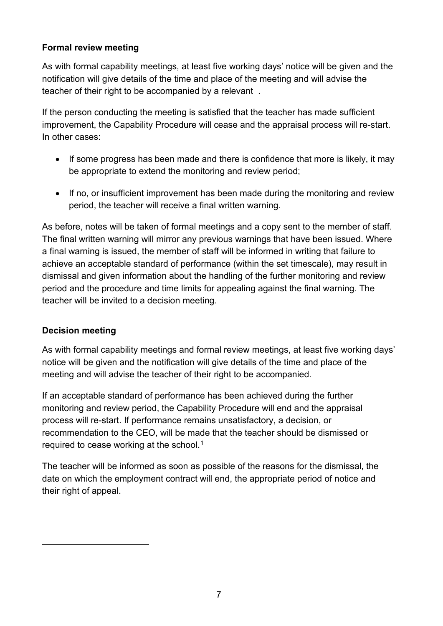## **Formal review meeting**

As with formal capability meetings, at least five working days' notice will be given and the notification will give details of the time and place of the meeting and will advise the teacher of their right to be accompanied by a relevant .

If the person conducting the meeting is satisfied that the teacher has made sufficient improvement, the Capability Procedure will cease and the appraisal process will re-start. In other cases:

- If some progress has been made and there is confidence that more is likely, it may be appropriate to extend the monitoring and review period;
- If no, or insufficient improvement has been made during the monitoring and review period, the teacher will receive a final written warning.

As before, notes will be taken of formal meetings and a copy sent to the member of staff. The final written warning will mirror any previous warnings that have been issued. Where a final warning is issued, the member of staff will be informed in writing that failure to achieve an acceptable standard of performance (within the set timescale), may result in dismissal and given information about the handling of the further monitoring and review period and the procedure and time limits for appealing against the final warning. The teacher will be invited to a decision meeting.

#### **Decision meeting**

As with formal capability meetings and formal review meetings, at least five working days' notice will be given and the notification will give details of the time and place of the meeting and will advise the teacher of their right to be accompanied.

If an acceptable standard of performance has been achieved during the further monitoring and review period, the Capability Procedure will end and the appraisal process will re-start. If performance remains unsatisfactory, a decision, or recommendation to the CEO, will be made that the teacher should be dismissed or required to cease working at the school.<sup>[1](#page-6-0)</sup>

<span id="page-6-0"></span>The teacher will be informed as soon as possible of the reasons for the dismissal, the date on which the employment contract will end, the appropriate period of notice and their right of appeal.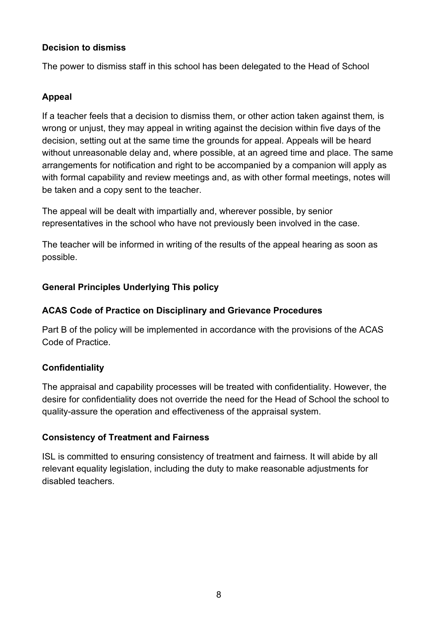#### **Decision to dismiss**

The power to dismiss staff in this school has been delegated to the Head of School

## **Appeal**

If a teacher feels that a decision to dismiss them, or other action taken against them*,* is wrong or unjust, they may appeal in writing against the decision within five days of the decision, setting out at the same time the grounds for appeal. Appeals will be heard without unreasonable delay and, where possible, at an agreed time and place. The same arrangements for notification and right to be accompanied by a companion will apply as with formal capability and review meetings and, as with other formal meetings, notes will be taken and a copy sent to the teacher.

The appeal will be dealt with impartially and, wherever possible, by senior representatives in the school who have not previously been involved in the case.

The teacher will be informed in writing of the results of the appeal hearing as soon as possible.

## **General Principles Underlying This policy**

#### **ACAS Code of Practice on Disciplinary and Grievance Procedures**

Part B of the policy will be implemented in accordance with the provisions of the ACAS Code of Practice.

# **Confidentiality**

The appraisal and capability processes will be treated with confidentiality. However, the desire for confidentiality does not override the need for the Head of School the school to quality-assure the operation and effectiveness of the appraisal system.

#### **Consistency of Treatment and Fairness**

ISL is committed to ensuring consistency of treatment and fairness. It will abide by all relevant equality legislation, including the duty to make reasonable adjustments for disabled teachers.